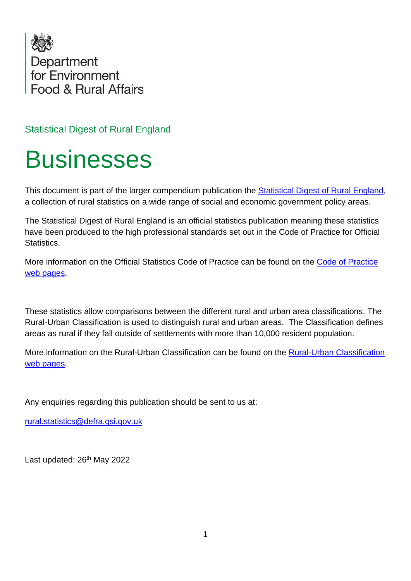

Statistical Digest of Rural England

# **Businesses**

This document is part of the larger compendium publication the [Statistical Digest of Rural England,](https://www.gov.uk/government/statistics/statistical-digest-of-rural-england) a collection of rural statistics on a wide range of social and economic government policy areas.

The Statistical Digest of Rural England is an official statistics publication meaning these statistics have been produced to the high professional standards set out in the Code of Practice for Official Statistics.

More information on the Official Statistics Code of Practice can be found on the [Code of Practice](https://code.statisticsauthority.gov.uk/)  [web pages.](https://code.statisticsauthority.gov.uk/)

These statistics allow comparisons between the different rural and urban area classifications. The Rural-Urban Classification is used to distinguish rural and urban areas. The Classification defines areas as rural if they fall outside of settlements with more than 10,000 resident population.

More information on the Rural-Urban Classification can be found on the [Rural-Urban Classification](https://code.statisticsauthority.gov.uk/)  [web pages.](https://code.statisticsauthority.gov.uk/)

Any enquiries regarding this publication should be sent to us at:

[rural.statistics@defra.gsi.gov.uk](mailto:rural.statistics@defra.gsi.gov.uk)

Last updated: 26<sup>th</sup> May 2022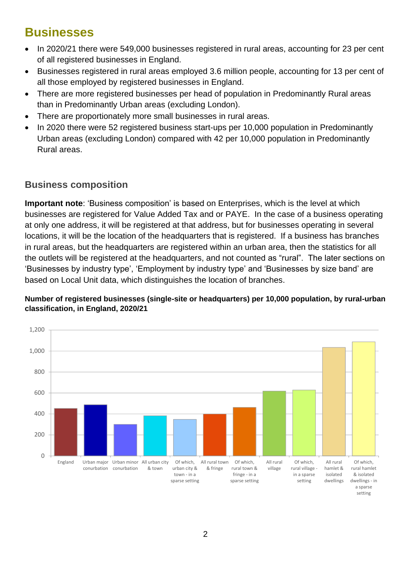# **Businesses**

- In 2020/21 there were 549,000 businesses registered in rural areas, accounting for 23 per cent of all registered businesses in England.
- Businesses registered in rural areas employed 3.6 million people, accounting for 13 per cent of all those employed by registered businesses in England.
- There are more registered businesses per head of population in Predominantly Rural areas than in Predominantly Urban areas (excluding London).
- There are proportionately more small businesses in rural areas.
- In 2020 there were 52 registered business start-ups per 10,000 population in Predominantly Urban areas (excluding London) compared with 42 per 10,000 population in Predominantly Rural areas.

## **Business composition**

**Important note**: 'Business composition' is based on Enterprises, which is the level at which businesses are registered for Value Added Tax and or PAYE. In the case of a business operating at only one address, it will be registered at that address, but for businesses operating in several locations, it will be the location of the headquarters that is registered. If a business has branches in rural areas, but the headquarters are registered within an urban area, then the statistics for all the outlets will be registered at the headquarters, and not counted as "rural". The later sections on 'Businesses by industry type', 'Employment by industry type' and 'Businesses by size band' are based on Local Unit data, which distinguishes the location of branches.

## **Number of registered businesses (single-site or headquarters) per 10,000 population, by rural-urban classification, in England, 2020/21**

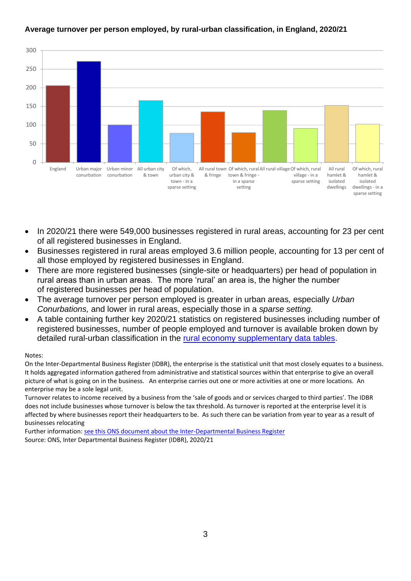#### **Average turnover per person employed, by rural-urban classification, in England, 2020/21**



- In 2020/21 there were 549,000 businesses registered in rural areas, accounting for 23 per cent of all registered businesses in England.
- Businesses registered in rural areas employed 3.6 million people, accounting for 13 per cent of all those employed by registered businesses in England.
- There are more registered businesses (single-site or headquarters) per head of population in rural areas than in urban areas. The more 'rural' an area is, the higher the number of registered businesses per head of population.
- The average turnover per person employed is greater in urban areas*,* especially *Urban Conurbations,* and lower in rural areas, especially those in a *sparse setting.*
- A table containing further key 2020/21 statistics on registered businesses including number of registered businesses, number of people employed and turnover is available broken down by detailed rural-urban classification in the [rural economy supplementary data tables.](https://www.gov.uk/government/statistics/statistical-digest-of-rural-england)

#### Notes:

On the Inter-Departmental Business Register (IDBR), the enterprise is the statistical unit that most closely equates to a business. It holds aggregated information gathered from administrative and statistical sources within that enterprise to give an overall picture of what is going on in the business. An enterprise carries out one or more activities at one or more locations. An enterprise may be a sole legal unit.

Turnover relates to income received by a business from the 'sale of goods and or services charged to third parties'. The IDBR does not include businesses whose turnover is below the tax threshold. As turnover is reported at the enterprise level it is affected by where businesses report their headquarters to be. As such there can be variation from year to year as a result of businesses relocating

Further information: [see this ONS document about the Inter-Departmental Business Register](http://www.ons.gov.uk/aboutus/whatwedo/paidservices/interdepartmentalbusinessregisteridbr) Source: ONS, Inter Departmental Business Register (IDBR), 2020/21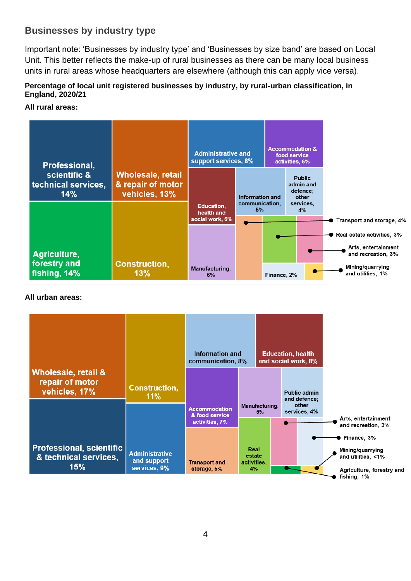## <span id="page-3-0"></span>**Businesses by industry type**

Important note: 'Businesses by industry type' and 'Businesses by size band' are based on Local Unit. This better reflects the make-up of rural businesses as there can be many local business units in rural areas whose headquarters are elsewhere (although this can apply vice versa).

## **Percentage of local unit registered businesses by industry, by rural-urban classification, in England, 2020/21**

### **All rural areas:**

|                                            | Professional,                                |                                                                | <b>Administrative and</b><br>support services, 8% |                                                | <b>Accommodation &amp;</b><br>food service<br>activities, 6%       |  |                                                                                                      |
|--------------------------------------------|----------------------------------------------|----------------------------------------------------------------|---------------------------------------------------|------------------------------------------------|--------------------------------------------------------------------|--|------------------------------------------------------------------------------------------------------|
| scientific &<br>technical services,<br>14% |                                              | <b>Wholesale, retail</b><br>& repair of motor<br>vehicles, 13% | <b>Education,</b><br>health and                   | <b>Information and</b><br>communication,<br>5% | <b>Public</b><br>admin and<br>defence;<br>other<br>services,<br>4% |  |                                                                                                      |
|                                            |                                              |                                                                | social work, 6%                                   |                                                |                                                                    |  | Transport and storage, 4%<br>$\blacktriangleright$ Real estate activities, 3%<br>Arts, entertainment |
|                                            | Agriculture,<br>forestry and<br>fishing, 14% | <b>Construction,</b><br>13%                                    | Manufacturing,<br>6%                              |                                                | Finance, 2%                                                        |  | and recreation, 3%<br>Mining/quarrying<br>and utilities, 1%                                          |

## **All urban areas:**

|                                                                    |                                      | Information and<br>communication, 8%                     |                      | <b>Education, health</b> | and social work, 8%                   |                                                                 |
|--------------------------------------------------------------------|--------------------------------------|----------------------------------------------------------|----------------------|--------------------------|---------------------------------------|-----------------------------------------------------------------|
| <b>Wholesale, retail &amp;</b><br>repair of motor<br>vehicles, 17% | <b>Construction,</b><br>11%          |                                                          |                      |                          | Public admin<br>and defence;<br>other |                                                                 |
|                                                                    |                                      | <b>Accommodation</b><br>& food service<br>activities, 7% | Manufacturing,<br>5% |                          | services, 4%                          | Arts, entertainment<br>and recreation, 3%                       |
| <b>Professional, scientific</b><br>& technical services,           | <b>Administrative</b><br>and support |                                                          | Real<br>estate       |                          |                                       | $\bullet$ Finance, 3%<br>Mining/quarrying<br>and utilities, <1% |
| 15%                                                                | services, 9%                         | <b>Transport and</b><br>storage, 5%                      | activities.<br>4%    |                          |                                       | Agriculture, forestry and<br>fishing, 1%                        |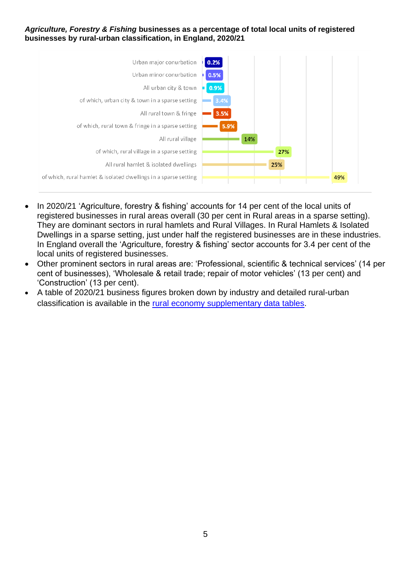#### *Agriculture, Forestry & Fishing* **businesses as a percentage of total local units of registered businesses by rural-urban classification, in England, 2020/21**



- In 2020/21 'Agriculture, forestry & fishing' accounts for 14 per cent of the local units of registered businesses in rural areas overall (30 per cent in Rural areas in a sparse setting). They are dominant sectors in rural hamlets and Rural Villages. In Rural Hamlets & Isolated Dwellings in a sparse setting, just under half the registered businesses are in these industries. In England overall the 'Agriculture, forestry & fishing' sector accounts for 3.4 per cent of the local units of registered businesses.
- Other prominent sectors in rural areas are: 'Professional, scientific & technical services' (14 per cent of businesses), 'Wholesale & retail trade; repair of motor vehicles' (13 per cent) and 'Construction' (13 per cent).
- A table of 2020/21 business figures broken down by industry and detailed rural-urban classification is available in the [rural economy supplementary data tables.](https://www.gov.uk/government/statistics/statistical-digest-of-rural-england)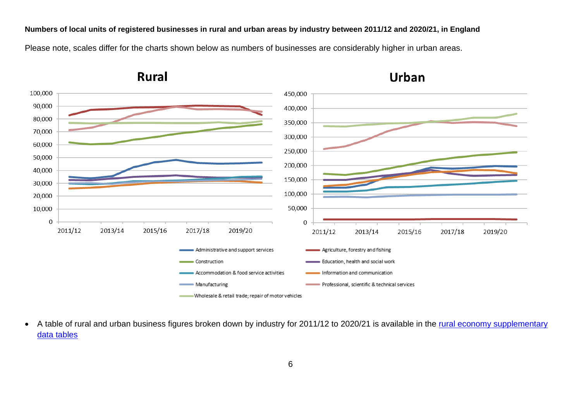**Numbers of local units of registered businesses in rural and urban areas by industry between 2011/12 and 2020/21, in England** Please note, scales differ for the charts shown below as numbers of businesses are considerably higher in urban areas.



**Rural** 

**Urban** 

• A table of rural and urban business figures broken down by industry for 2011/12 to 2020/21 is available in the rural economy supplementary [data tables](https://www.gov.uk/government/statistics/statistical-digest-of-rural-england)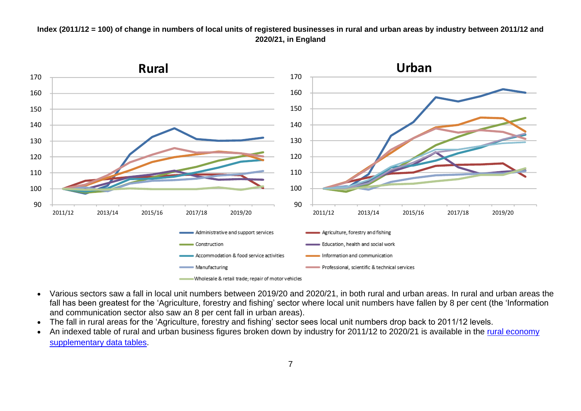#### **Index (2011/12 = 100) of change in numbers of local units of registered businesses in rural and urban areas by industry between 2011/12 and 2020/21, in England**



- Various sectors saw a fall in local unit numbers between 2019/20 and 2020/21, in both rural and urban areas. In rural and urban areas the fall has been greatest for the 'Agriculture, forestry and fishing' sector where local unit numbers have fallen by 8 per cent (the 'Information and communication sector also saw an 8 per cent fall in urban areas).
- The fall in rural areas for the 'Agriculture, forestry and fishing' sector sees local unit numbers drop back to 2011/12 levels.
- An indexed table of rural and urban business figures broken down by industry for 2011/12 to 2020/21 is available in the rural economy [supplementary data tables.](https://www.gov.uk/government/statistics/statistical-digest-of-rural-england)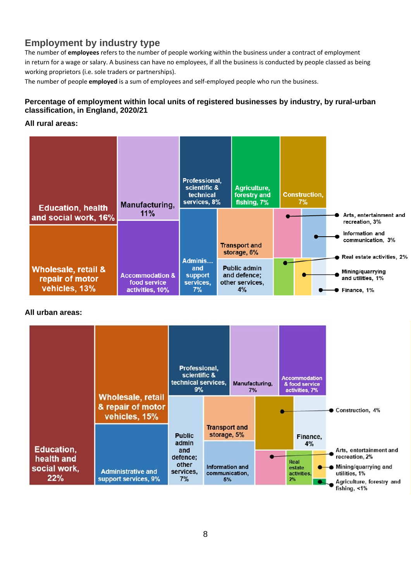## **Employment by industry type**

The number of **employees** refers to the number of people working within the business under a contract of employment in return for a wage or salary. A business can have no employees, if all the business is conducted by people classed as being working proprietors (i.e. sole traders or partnerships).

The number of people **employed** is a sum of employees and self-employed people who run the business.

## **Percentage of employment within local units of registered businesses by industry, by rural-urban classification, in England, 2020/21**

**All rural areas:**

| <b>Education, health</b>                                           | Manufacturing,                                                | <b>Professional,</b><br>scientific &<br>technical<br>services, 8% | Agriculture,<br>forestry and<br>fishing, 7%                  | <b>Construction,</b><br>$7\%$ |                                                                    |
|--------------------------------------------------------------------|---------------------------------------------------------------|-------------------------------------------------------------------|--------------------------------------------------------------|-------------------------------|--------------------------------------------------------------------|
| and social work, 16%                                               | 11%                                                           |                                                                   |                                                              |                               | Arts, entertainment and<br>recreation, 3%                          |
|                                                                    |                                                               |                                                                   | <b>Transport and</b><br>storage, 6%                          |                               | Information and<br>communication, 3%<br>Real estate activities, 2% |
| <b>Wholesale, retail &amp;</b><br>repair of motor<br>vehicles, 13% | <b>Accommodation &amp;</b><br>food service<br>activities, 10% | Adminis<br>and<br>support<br>services,<br>7%                      | <b>Public admin</b><br>and defence;<br>other services,<br>4% |                               | Mining/quarrying<br>and utilities, 1%<br>Finance, 1%               |

#### **All urban areas:**

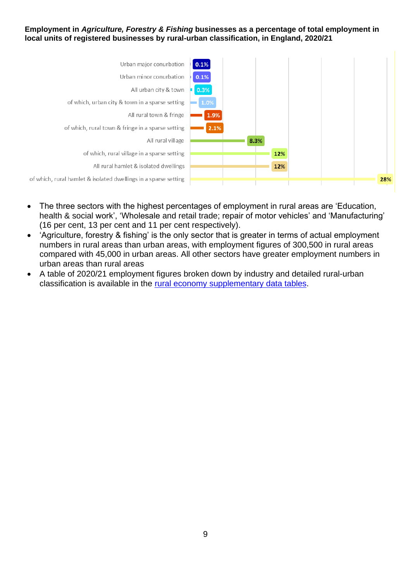#### **Employment in** *Agriculture, Forestry & Fishing* **businesses as a percentage of total employment in local units of registered businesses by rural-urban classification, in England, 2020/21**



- The three sectors with the highest percentages of employment in rural areas are 'Education, health & social work', 'Wholesale and retail trade; repair of motor vehicles' and 'Manufacturing' (16 per cent, 13 per cent and 11 per cent respectively).
- 'Agriculture, forestry & fishing' is the only sector that is greater in terms of actual employment numbers in rural areas than urban areas, with employment figures of 300,500 in rural areas compared with 45,000 in urban areas. All other sectors have greater employment numbers in urban areas than rural areas
- A table of 2020/21 employment figures broken down by industry and detailed rural-urban classification is available in the [rural economy supplementary data tables.](https://www.gov.uk/government/statistics/statistical-digest-of-rural-england)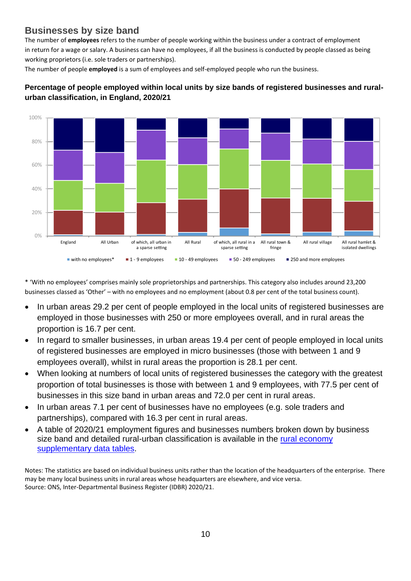## **Businesses by size band**

The number of **employees** refers to the number of people working within the business under a contract of employment in return for a wage or salary. A business can have no employees, if all the business is conducted by people classed as being working proprietors (i.e. sole traders or partnerships).

The number of people **employed** is a sum of employees and self-employed people who run the business.



## **Percentage of people employed within local units by size bands of registered businesses and ruralurban classification, in England, 2020/21**

\* 'With no employees' comprises mainly sole proprietorships and partnerships. This category also includes around 3,200 businesses classed as 'Other' – with no employees and no employment (about 0.8 per cent of the total business count).

- In urban areas 29.2 per cent of people employed in the local units of registered businesses are employed in those businesses with 250 or more employees overall, and in rural areas the proportion is 16.7 per cent.
- In regard to smaller businesses, in urban areas 19.4 per cent of people employed in local units of registered businesses are employed in micro businesses (those with between 1 and 9 employees overall), whilst in rural areas the proportion is 28.1 per cent.
- When looking at numbers of local units of registered businesses the category with the greatest proportion of total businesses is those with between 1 and 9 employees, with 77.5 per cent of businesses in this size band in urban areas and 72.0 per cent in rural areas.
- In urban areas 7.1 per cent of businesses have no employees (e.g. sole traders and partnerships), compared with 16.3 per cent in rural areas.
- A table of 2020/21 employment figures and businesses numbers broken down by business size band and detailed rural-urban classification is available in the rural economy [supplementary data tables.](https://www.gov.uk/government/statistics/statistical-digest-of-rural-england)

Notes: The statistics are based on individual business units rather than the location of the headquarters of the enterprise. There may be many local business units in rural areas whose headquarters are elsewhere, and vice versa. Source: ONS, Inter-Departmental Business Register (IDBR) 2020/21.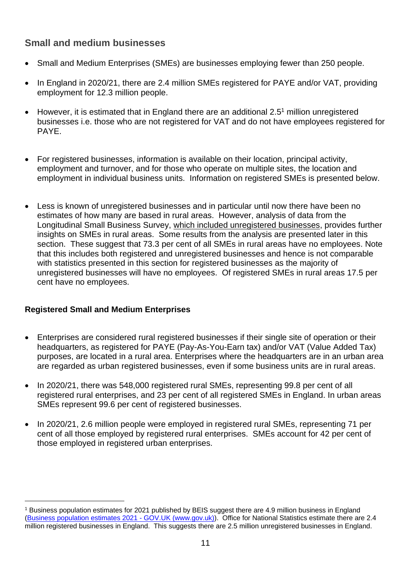## **Small and medium businesses**

- Small and Medium Enterprises (SMEs) are businesses employing fewer than 250 people.
- In England in 2020/21, there are 2.4 million SMEs registered for PAYE and/or VAT, providing employment for 12.3 million people.
- However, it is estimated that in England there are an additional 2.5<sup>1</sup> million unregistered businesses i.e. those who are not registered for VAT and do not have employees registered for PAYE.
- For registered businesses, information is available on their location, principal activity, employment and turnover, and for those who operate on multiple sites, the location and employment in individual business units. Information on registered SMEs is presented below.
- Less is known of unregistered businesses and in particular until now there have been no estimates of how many are based in rural areas. However, analysis of data from the Longitudinal Small Business Survey, which included unregistered businesses, provides further insights on SMEs in rural areas. Some results from the analysis are presented later in this section. These suggest that 73.3 per cent of all SMEs in rural areas have no employees. Note that this includes both registered and unregistered businesses and hence is not comparable with statistics presented in this section for registered businesses as the majority of unregistered businesses will have no employees. Of registered SMEs in rural areas 17.5 per cent have no employees.

## **Registered Small and Medium Enterprises**

- Enterprises are considered rural registered businesses if their single site of operation or their headquarters, as registered for PAYE (Pay-As-You-Earn tax) and/or VAT (Value Added Tax) purposes, are located in a rural area. Enterprises where the headquarters are in an urban area are regarded as urban registered businesses, even if some business units are in rural areas.
- In 2020/21, there was 548,000 registered rural SMEs, representing 99.8 per cent of all registered rural enterprises, and 23 per cent of all registered SMEs in England. In urban areas SMEs represent 99.6 per cent of registered businesses.
- In 2020/21, 2.6 million people were employed in registered rural SMEs, representing 71 per cent of all those employed by registered rural enterprises. SMEs account for 42 per cent of those employed in registered urban enterprises.

<sup>&</sup>lt;sup>1</sup> Business population estimates for 2021 published by BEIS suggest there are 4.9 million business in England [\(Business population estimates 2021 -](https://www.gov.uk/government/statistics/business-population-estimates-2021) GOV.UK (www.gov.uk)). Office for National Statistics estimate there are 2.4 million registered businesses in England. This suggests there are 2.5 million unregistered businesses in England.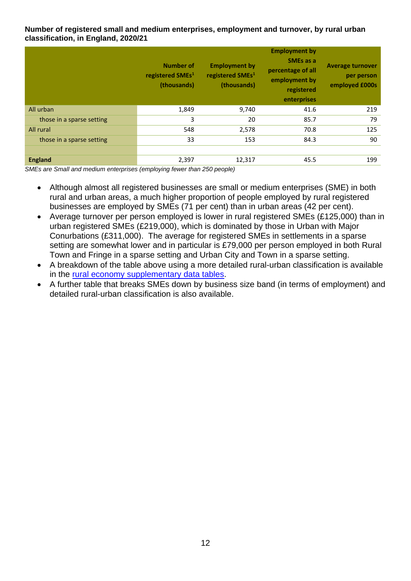## **Number of registered small and medium enterprises, employment and turnover, by rural urban classification, in England, 2020/21**

|                           | <b>Number of</b><br>registered SMEs <sup>1</sup><br>(thousands) | <b>Employment by</b><br>registered SMEs <sup>1</sup><br>(thousands) | <b>Employment by</b><br><b>SMEs as a</b><br>percentage of all<br>employment by<br>registered<br>enterprises | <b>Average turnover</b><br>per person<br>employed £000s |
|---------------------------|-----------------------------------------------------------------|---------------------------------------------------------------------|-------------------------------------------------------------------------------------------------------------|---------------------------------------------------------|
| All urban                 | 1,849                                                           | 9,740                                                               | 41.6                                                                                                        | 219                                                     |
| those in a sparse setting | 3                                                               | 20                                                                  | 85.7                                                                                                        | 79                                                      |
| All rural                 | 548                                                             | 2,578                                                               | 70.8                                                                                                        | 125                                                     |
| those in a sparse setting | 33                                                              | 153                                                                 | 84.3                                                                                                        | 90                                                      |
|                           |                                                                 |                                                                     |                                                                                                             |                                                         |
| <b>England</b>            | 2,397                                                           | 12,317                                                              | 45.5                                                                                                        | 199                                                     |

*SMEs are Small and medium enterprises (employing fewer than 250 people)*

- Although almost all registered businesses are small or medium enterprises (SME) in both rural and urban areas, a much higher proportion of people employed by rural registered businesses are employed by SMEs (71 per cent) than in urban areas (42 per cent).
- Average turnover per person emploved is lower in rural registered SMEs (£125,000) than in urban registered SMEs (£219,000), which is dominated by those in Urban with Major Conurbations (£311,000). The average for registered SMEs in settlements in a sparse setting are somewhat lower and in particular is £79,000 per person employed in both Rural Town and Fringe in a sparse setting and Urban City and Town in a sparse setting.
- A breakdown of the table above using a more detailed rural-urban classification is available in the [rural economy supplementary data tables.](https://www.gov.uk/government/statistics/statistical-digest-of-rural-england)
- A further table that breaks SMEs down by business size band (in terms of employment) and detailed rural-urban classification is also available.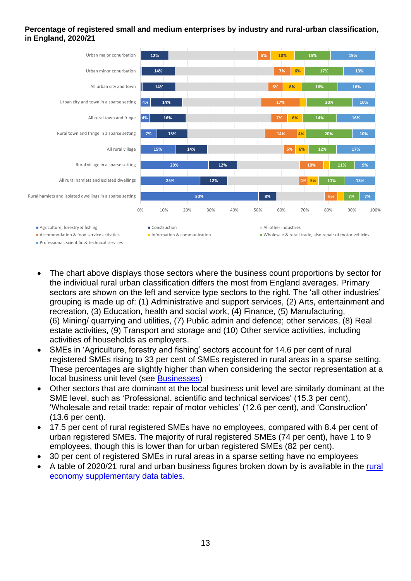## **Percentage of registered small and medium enterprises by industry and rural-urban classification, in England, 2020/21**



- The chart above displays those sectors where the business count proportions by sector for the individual rural urban classification differs the most from England averages. Primary sectors are shown on the left and service type sectors to the right. The 'all other industries' grouping is made up of: (1) Administrative and support services, (2) Arts, entertainment and recreation, (3) Education, health and social work, (4) Finance, (5) Manufacturing, (6) Mining/ quarrying and utilities, (7) Public admin and defence; other services, (8) Real estate activities, (9) Transport and storage and (10) Other service activities, including activities of households as employers.
- SMEs in 'Agriculture, forestry and fishing' sectors account for 14.6 per cent of rural registered SMEs rising to 33 per cent of SMEs registered in rural areas in a sparse setting. These percentages are slightly higher than when considering the sector representation at a local business unit level (see [Businesses\)](#page-3-0)
- Other sectors that are dominant at the local business unit level are similarly dominant at the SME level, such as 'Professional, scientific and technical services' (15.3 per cent), 'Wholesale and retail trade; repair of motor vehicles' (12.6 per cent), and 'Construction' (13.6 per cent).
- 17.5 per cent of rural registered SMEs have no employees, compared with 8.4 per cent of urban registered SMEs. The majority of rural registered SMEs (74 per cent), have 1 to 9 employees, though this is lower than for urban registered SMEs (82 per cent).
- 30 per cent of registered SMEs in rural areas in a sparse setting have no employees
- A table of 2020/21 rural and urban business figures broken down by is available in the [rural](https://www.gov.uk/government/statistics/statistical-digest-of-rural-england)  [economy supplementary data tables.](https://www.gov.uk/government/statistics/statistical-digest-of-rural-england)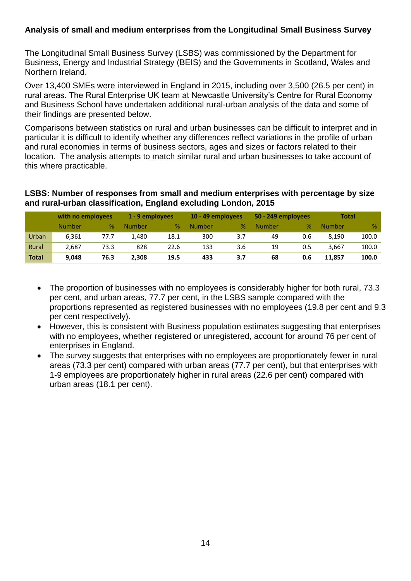## **Analysis of small and medium enterprises from the Longitudinal Small Business Survey**

The Longitudinal Small Business Survey (LSBS) was commissioned by the Department for Business, Energy and Industrial Strategy (BEIS) and the Governments in Scotland, Wales and Northern Ireland.

Over 13,400 SMEs were interviewed in England in 2015, including over 3,500 (26.5 per cent) in rural areas. The Rural Enterprise UK team at Newcastle University's Centre for Rural Economy and Business School have undertaken additional rural-urban analysis of the data and some of their findings are presented below.

Comparisons between statistics on rural and urban businesses can be difficult to interpret and in particular it is difficult to identify whether any differences reflect variations in the profile of urban and rural economies in terms of business sectors, ages and sizes or factors related to their location. The analysis attempts to match similar rural and urban businesses to take account of this where practicable.

**LSBS: Number of responses from small and medium enterprises with percentage by size and rural-urban classification, England excluding London, 2015**

|              | with no employees |      | 1 - 9 employees |      | 10 - 49 employees |     | 50 - 249 employees |     | <b>Total</b> |       |
|--------------|-------------------|------|-----------------|------|-------------------|-----|--------------------|-----|--------------|-------|
|              | Number            | %    | <b>Number</b>   | %    | Number            | %   | Number             | %   | Number       | $\%$  |
| Urban        | 6,361             | 77.7 | 1,480           | 18.1 | 300               | 3.7 | 49                 | 0.6 | 8.190        | 100.0 |
| Rural        | 2.687             | 73.3 | 828             | 22.6 | 133               | 3.6 | 19                 | 0.5 | 3.667        | 100.0 |
| <b>Total</b> | 9.048             | 76.3 | 2.308           | 19.5 | 433               | 3.7 | 68                 | 0.6 | 11.857       | 100.0 |

- The proportion of businesses with no employees is considerably higher for both rural, 73.3 per cent, and urban areas, 77.7 per cent, in the LSBS sample compared with the proportions represented as registered businesses with no employees (19.8 per cent and 9.3 per cent respectively).
- However, this is consistent with Business population estimates suggesting that enterprises with no employees, whether registered or unregistered, account for around 76 per cent of enterprises in England.
- The survey suggests that enterprises with no employees are proportionately fewer in rural areas (73.3 per cent) compared with urban areas (77.7 per cent), but that enterprises with 1-9 employees are proportionately higher in rural areas (22.6 per cent) compared with urban areas (18.1 per cent).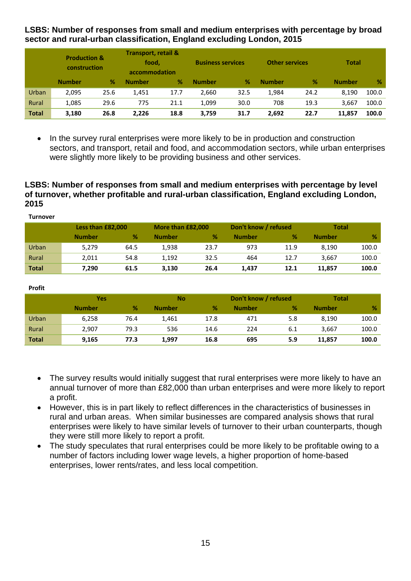**LSBS: Number of responses from small and medium enterprises with percentage by broad sector and rural-urban classification, England excluding London, 2015**

|              | <b>Production &amp;</b><br>construction |      | <b>Transport, retail &amp;</b><br>food.<br>accommodation |      | <b>Business services</b> |      | <b>Other services</b> |      | <b>Total</b>  |               |
|--------------|-----------------------------------------|------|----------------------------------------------------------|------|--------------------------|------|-----------------------|------|---------------|---------------|
|              | <b>Number</b>                           | %    | <b>Number</b>                                            | %    | <b>Number</b>            | %    | <b>Number</b>         | %    | <b>Number</b> | $\frac{9}{6}$ |
| Urban        | 2,095                                   | 25.6 | 1,451                                                    | 17.7 | 2,660                    | 32.5 | 1,984                 | 24.2 | 8,190         | 100.0         |
| Rural        | 1,085                                   | 29.6 | 775                                                      | 21.1 | 1,099                    | 30.0 | 708                   | 19.3 | 3.667         | 100.0         |
| <b>Total</b> | 3,180                                   | 26.8 | 2,226                                                    | 18.8 | 3,759                    | 31.7 | 2,692                 | 22.7 | 11,857        | 100.0         |

• In the survey rural enterprises were more likely to be in production and construction sectors, and transport, retail and food, and accommodation sectors, while urban enterprises were slightly more likely to be providing business and other services.

## **LSBS: Number of responses from small and medium enterprises with percentage by level of turnover, whether profitable and rural-urban classification, England excluding London, 2015**

| <b>Turnover</b> |                   |      |               |                   |               |                      |               |              |  |
|-----------------|-------------------|------|---------------|-------------------|---------------|----------------------|---------------|--------------|--|
|                 | Less than £82,000 |      |               | More than £82,000 |               | Don't know / refused |               | <b>Total</b> |  |
|                 | <b>Number</b>     | %    | <b>Number</b> | %                 | <b>Number</b> | %                    | <b>Number</b> | %            |  |
| Urban           | 5,279             | 64.5 | 1,938         | 23.7              | 973           | 11.9                 | 8.190         | 100.0        |  |
| Rural           | 2,011             | 54.8 | 1,192         | 32.5              | 464           | 12.7                 | 3,667         | 100.0        |  |
| <b>Total</b>    | 7,290             | 61.5 | 3,130         | 26.4              | 1,437         | 12.1                 | 11,857        | 100.0        |  |

| <b>Profit</b> |               |      |               |      |                      |     |               |       |
|---------------|---------------|------|---------------|------|----------------------|-----|---------------|-------|
|               | Yes           |      | <b>No</b>     |      | Don't know / refused |     | <b>Total</b>  |       |
|               | <b>Number</b> | %    | <b>Number</b> | %    | <b>Number</b>        | %   | <b>Number</b> | %     |
| Urban         | 6,258         | 76.4 | 1,461         | 17.8 | 471                  | 5.8 | 8.190         | 100.0 |
| Rural         | 2,907         | 79.3 | 536           | 14.6 | 224                  | 6.1 | 3,667         | 100.0 |
| <b>Total</b>  | 9,165         | 77.3 | 1,997         | 16.8 | 695                  | 5.9 | 11,857        | 100.0 |

**Profit**

- The survey results would initially suggest that rural enterprises were more likely to have an annual turnover of more than £82,000 than urban enterprises and were more likely to report a profit.
- However, this is in part likely to reflect differences in the characteristics of businesses in rural and urban areas. When similar businesses are compared analysis shows that rural enterprises were likely to have similar levels of turnover to their urban counterparts, though they were still more likely to report a profit.
- The study speculates that rural enterprises could be more likely to be profitable owing to a number of factors including lower wage levels, a higher proportion of home-based enterprises, lower rents/rates, and less local competition.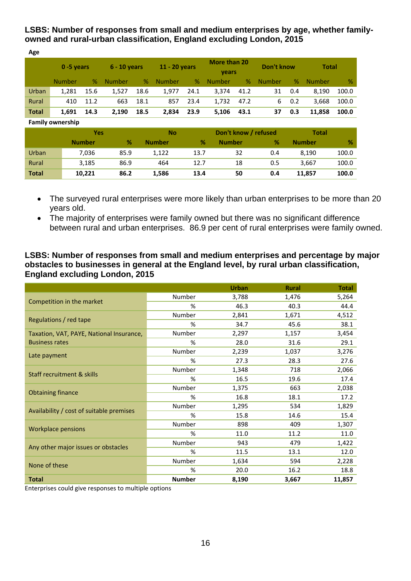**LSBS: Number of responses from small and medium enterprises by age, whether familyowned and rural-urban classification, England excluding London, 2015**

| Age          |                         |               |               |                |               |                      |               |                              |               |            |               |       |
|--------------|-------------------------|---------------|---------------|----------------|---------------|----------------------|---------------|------------------------------|---------------|------------|---------------|-------|
|              | 0-5 years               |               |               | $6 - 10$ years |               | 11 - 20 years        |               | More than 20<br><b>vears</b> |               | Don't know | <b>Total</b>  |       |
|              | <b>Number</b>           | %             | <b>Number</b> | %              | <b>Number</b> | %                    | <b>Number</b> | %                            | <b>Number</b> | %          | <b>Number</b> | %     |
| Urban        | 1,281                   | 15.6          | 1,527         | 18.6           | 1,977         | 24.1                 | 3,374         | 41.2                         | 31            | 0.4        | 8.190         | 100.0 |
| Rural        | 410                     | 11.2          | 663           | 18.1           | 857           | 23.4                 | 1,732         | 47.2                         | 6             | 0.2        | 3,668         | 100.0 |
| <b>Total</b> | 1,691                   | 14.3          | 2,190         | 18.5           | 2,834         | 23.9                 | 5,106         | 43.1                         | 37            | 0.3        | 11,858        | 100.0 |
|              | <b>Family ownership</b> |               |               |                |               |                      |               |                              |               |            |               |       |
|              |                         | <b>Yes</b>    |               |                | <b>No</b>     | Don't know / refused |               |                              | <b>Total</b>  |            |               |       |
|              |                         | <b>Number</b> | %             |                | <b>Number</b> | %                    | <b>Number</b> |                              | %             |            | <b>Number</b> | %     |
| Urban        |                         | 7,036         | 85.9          |                | 1,122         | 13.7                 |               | 32                           | 0.4           |            | 8,190         | 100.0 |
| Rural        |                         | 3,185         | 86.9          |                | 464           | 12.7                 |               | 18                           | 0.5           |            | 3,667         | 100.0 |
| <b>Total</b> |                         | 10,221        | 86.2          |                | 1,586         | 13.4                 |               | 50                           | 0.4           |            | 11,857        | 100.0 |

- The surveyed rural enterprises were more likely than urban enterprises to be more than 20 years old.
- The majority of enterprises were family owned but there was no significant difference between rural and urban enterprises. 86.9 per cent of rural enterprises were family owned.

## **LSBS: Number of responses from small and medium enterprises and percentage by major obstacles to businesses in general at the England level, by rural urban classification, England excluding London, 2015**

|                                          |               | <b>Urban</b> | <b>Rural</b> | <b>Total</b> |
|------------------------------------------|---------------|--------------|--------------|--------------|
|                                          | Number        | 3,788        | 1,476        | 5,264        |
| Competition in the market                | %             | 46.3         | 40.3         | 44.4         |
|                                          | Number        | 2,841        | 1,671        | 4,512        |
| Regulations / red tape                   | %             | 34.7         | 45.6         | 38.1         |
| Taxation, VAT, PAYE, National Insurance, | Number        | 2,297        | 1,157        | 3,454        |
| <b>Business rates</b>                    | %             | 28.0         | 31.6         | 29.1         |
| Late payment                             | Number        | 2,239        | 1,037        | 3,276        |
|                                          | %             | 27.3         | 28.3         | 27.6         |
| Staff recruitment & skills               | Number        | 1,348        | 718          | 2,066        |
|                                          | %             | 16.5         | 19.6         | 17.4         |
|                                          | Number        | 1,375        | 663          | 2,038        |
| <b>Obtaining finance</b>                 | %             | 16.8         | 18.1         | 17.2         |
| Availability / cost of suitable premises | Number        | 1,295        | 534          | 1,829        |
|                                          | %             | 15.8         | 14.6         | 15.4         |
|                                          | Number        | 898          | 409          | 1,307        |
| <b>Workplace pensions</b>                | %             | 11.0         | 11.2         | 11.0         |
| Any other major issues or obstacles      | Number        | 943          | 479          | 1,422        |
|                                          | %             | 11.5         | 13.1         | 12.0         |
| None of these                            | Number        | 1,634        | 594          | 2,228        |
|                                          | %             | 20.0         | 16.2         | 18.8         |
| <b>Total</b>                             | <b>Number</b> | 8,190        | 3,667        | 11,857       |

Enterprises could give responses to multiple options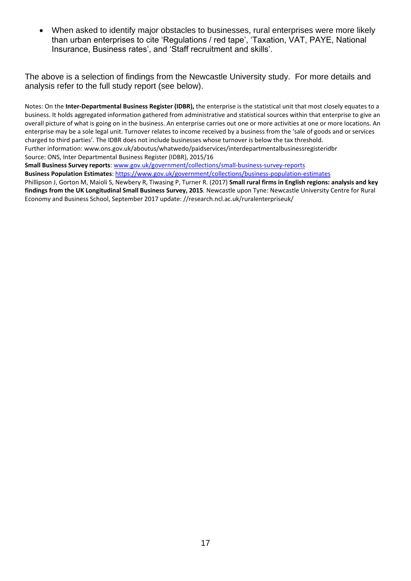• When asked to identify major obstacles to businesses, rural enterprises were more likely than urban enterprises to cite 'Regulations / red tape', 'Taxation, VAT, PAYE, National Insurance, Business rates', and 'Staff recruitment and skills'.

The above is a selection of findings from the Newcastle University study. For more details and analysis refer to the full study report (see below).

Notes: On the **Inter-Departmental Business Register (IDBR),** the enterprise is the statistical unit that most closely equates to a business. It holds aggregated information gathered from administrative and statistical sources within that enterprise to give an overall picture of what is going on in the business. An enterprise carries out one or more activities at one or more locations. An enterprise may be a sole legal unit. Turnover relates to income received by a business from the 'sale of goods and or services charged to third parties'. The IDBR does not include businesses whose turnover is below the tax threshold. Further information: www.ons.gov.uk/aboutus/whatwedo/paidservices/interdepartmentalbusinessregisteridbr Source: ONS, Inter Departmental Business Register (IDBR), 2015/16

**Small Business Survey reports**[: www.gov.uk/government/collections/small-business-survey-reports](http://www.gov.uk/government/collections/small-business-survey-reports) **Business Population Estimates**:<https://www.gov.uk/government/collections/business-population-estimates>

Phillipson J, Gorton M, Maioli S, Newbery R, Tiwasing P, Turner R. (2017) **Small rural firms in English regions: analysis and key findings from the UK Longitudinal Small Business Survey, 2015***.* Newcastle upon Tyne: Newcastle University Centre for Rural Economy and Business School, September 2017 update: //research.ncl.ac.uk/ruralenterpriseuk/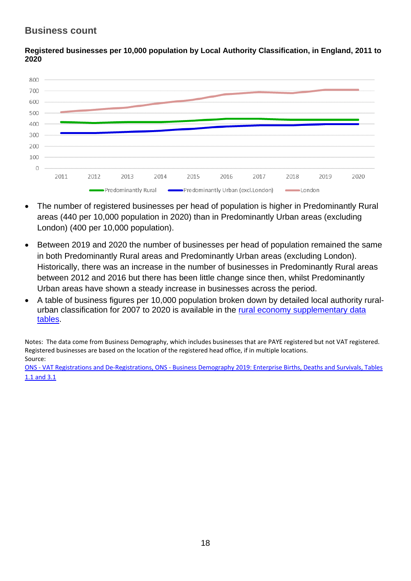## **Business count**



**Registered businesses per 10,000 population by Local Authority Classification, in England, 2011 to 2020**

- The number of registered businesses per head of population is higher in Predominantly Rural areas (440 per 10,000 population in 2020) than in Predominantly Urban areas (excluding London) (400 per 10,000 population).
- Between 2019 and 2020 the number of businesses per head of population remained the same in both Predominantly Rural areas and Predominantly Urban areas (excluding London). Historically, there was an increase in the number of businesses in Predominantly Rural areas between 2012 and 2016 but there has been little change since then, whilst Predominantly Urban areas have shown a steady increase in businesses across the period.
- A table of business figures per 10,000 population broken down by detailed local authority ruralurban classification for 2007 to 2020 is available in the [rural economy supplementary data](https://www.gov.uk/government/statistics/statistical-digest-of-rural-england)  [tables.](https://www.gov.uk/government/statistics/statistical-digest-of-rural-england)

Notes: The data come from Business Demography, which includes businesses that are PAYE registered but not VAT registered. Registered businesses are based on the location of the registered head office, if in multiple locations. Source:

ONS - VAT Registrations and De-Registrations, ONS - [Business Demography 2019: Enterprise Births, Deaths and Survivals, Tables](http://www.ons.gov.uk/businessindustryandtrade/business/activitysizeandlocation/datasets/businessdemographyreferencetable)  [1.1 and 3.1](http://www.ons.gov.uk/businessindustryandtrade/business/activitysizeandlocation/datasets/businessdemographyreferencetable)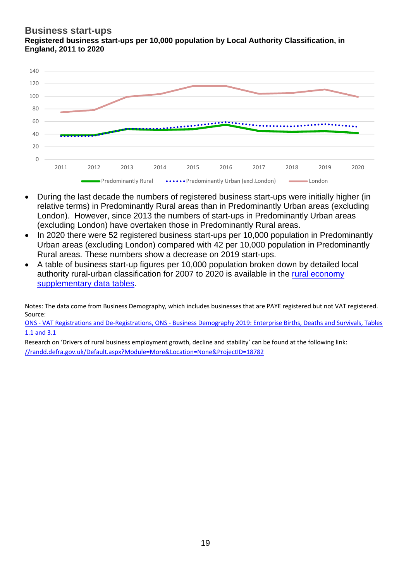## **Business start-ups Registered business start-ups per 10,000 population by Local Authority Classification, in England, 2011 to 2020**



- During the last decade the numbers of registered business start-ups were initially higher (in relative terms) in Predominantly Rural areas than in Predominantly Urban areas (excluding London). However, since 2013 the numbers of start-ups in Predominantly Urban areas (excluding London) have overtaken those in Predominantly Rural areas.
- In 2020 there were 52 registered business start-ups per 10,000 population in Predominantly Urban areas (excluding London) compared with 42 per 10,000 population in Predominantly Rural areas. These numbers show a decrease on 2019 start-ups.
- A table of business start-up figures per 10,000 population broken down by detailed local authority rural-urban classification for 2007 to 2020 is available in the [rural economy](https://www.gov.uk/government/statistics/statistical-digest-of-rural-england)  [supplementary data tables.](https://www.gov.uk/government/statistics/statistical-digest-of-rural-england)

Notes: The data come from Business Demography, which includes businesses that are PAYE registered but not VAT registered. Source:

ONS - VAT Registrations and De-Registrations, ONS - [Business Demography 2019: Enterprise Births, Deaths and Survivals, Tables](http://www.ons.gov.uk/businessindustryandtrade/business/activitysizeandlocation/datasets/businessdemographyreferencetable)  [1.1 and 3.1](http://www.ons.gov.uk/businessindustryandtrade/business/activitysizeandlocation/datasets/businessdemographyreferencetable)

Research on 'Drivers of rural business employment growth, decline and stability' can be found at the following link: [//randd.defra.gov.uk/Default.aspx?Module=More&Location=None&ProjectID=18782](http://randd.defra.gov.uk/Default.aspx?Module=More&Location=None&ProjectID=18782)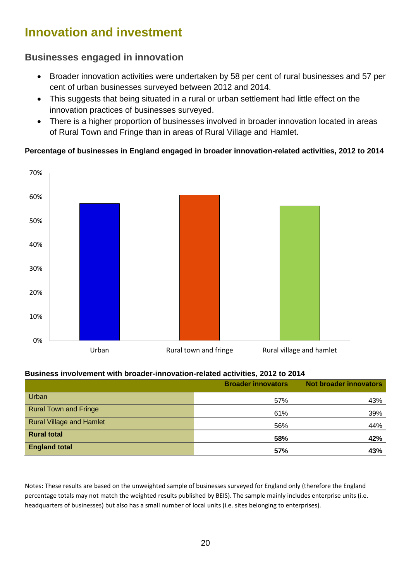# **Innovation and investment**

## **Businesses engaged in innovation**

- Broader innovation activities were undertaken by 58 per cent of rural businesses and 57 per cent of urban businesses surveyed between 2012 and 2014.
- This suggests that being situated in a rural or urban settlement had little effect on the innovation practices of businesses surveyed.
- There is a higher proportion of businesses involved in broader innovation located in areas of Rural Town and Fringe than in areas of Rural Village and Hamlet.

## **Percentage of businesses in England engaged in broader innovation-related activities, 2012 to 2014**



## **Business involvement with broader-innovation-related activities, 2012 to 2014**

|                                 | <b>Broader innovators</b> | <b>Not broader innovators</b> |
|---------------------------------|---------------------------|-------------------------------|
| Urban                           | 57%                       | 43%                           |
| <b>Rural Town and Fringe</b>    | 61%                       | 39%                           |
| <b>Rural Village and Hamlet</b> | 56%                       | 44%                           |
| <b>Rural total</b>              | 58%                       | 42%                           |
| <b>England total</b>            | 57%                       | 43%                           |

Notes**:** These results are based on the unweighted sample of businesses surveyed for England only (therefore the England percentage totals may not match the weighted results published by BEIS). The sample mainly includes enterprise units (i.e. headquarters of businesses) but also has a small number of local units (i.e. sites belonging to enterprises).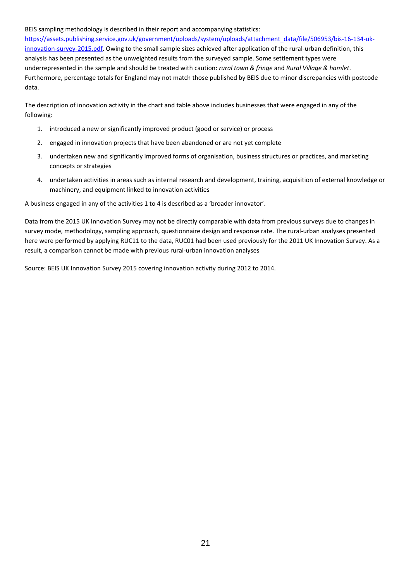#### BEIS sampling methodology is described in their report and accompanying statistics:

[https://assets.publishing.service.gov.uk/government/uploads/system/uploads/attachment\\_data/file/506953/bis-16-134-uk](https://assets.publishing.service.gov.uk/government/uploads/system/uploads/attachment_data/file/506953/bis-16-134-uk-innovation-survey-2015.pdf)[innovation-survey-2015.pdf.](https://assets.publishing.service.gov.uk/government/uploads/system/uploads/attachment_data/file/506953/bis-16-134-uk-innovation-survey-2015.pdf) Owing to the small sample sizes achieved after application of the rural-urban definition, this analysis has been presented as the unweighted results from the surveyed sample. Some settlement types were underrepresented in the sample and should be treated with caution: *rural town & fringe* and *Rural Village & hamlet*. Furthermore, percentage totals for England may not match those published by BEIS due to minor discrepancies with postcode data.

The description of innovation activity in the chart and table above includes businesses that were engaged in any of the following:

- 1. introduced a new or significantly improved product (good or service) or process
- 2. engaged in innovation projects that have been abandoned or are not yet complete
- 3. undertaken new and significantly improved forms of organisation, business structures or practices, and marketing concepts or strategies
- 4. undertaken activities in areas such as internal research and development, training, acquisition of external knowledge or machinery, and equipment linked to innovation activities

A business engaged in any of the activities 1 to 4 is described as a 'broader innovator'.

Data from the 2015 UK Innovation Survey may not be directly comparable with data from previous surveys due to changes in survey mode, methodology, sampling approach, questionnaire design and response rate. The rural-urban analyses presented here were performed by applying RUC11 to the data, RUC01 had been used previously for the 2011 UK Innovation Survey. As a result, a comparison cannot be made with previous rural-urban innovation analyses

Source: BEIS UK Innovation Survey 2015 covering innovation activity during 2012 to 2014.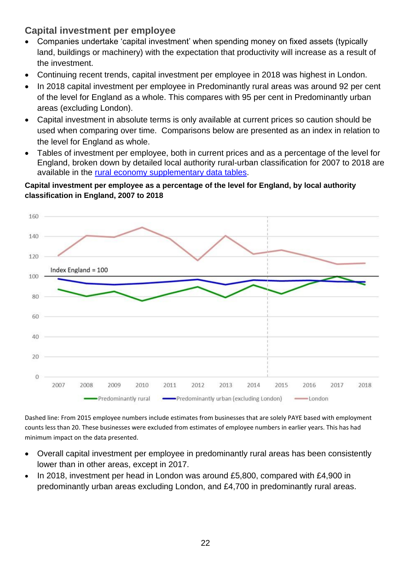## **Capital investment per employee**

- Companies undertake 'capital investment' when spending money on fixed assets (typically land, buildings or machinery) with the expectation that productivity will increase as a result of the investment.
- Continuing recent trends, capital investment per employee in 2018 was highest in London.
- In 2018 capital investment per employee in Predominantly rural areas was around 92 per cent of the level for England as a whole. This compares with 95 per cent in Predominantly urban areas (excluding London).
- Capital investment in absolute terms is only available at current prices so caution should be used when comparing over time. Comparisons below are presented as an index in relation to the level for England as whole.
- Tables of investment per employee, both in current prices and as a percentage of the level for England, broken down by detailed local authority rural-urban classification for 2007 to 2018 are available in the [rural economy supplementary data tables.](https://www.gov.uk/government/statistics/statistical-digest-of-rural-england)

## **Capital investment per employee as a percentage of the level for England, by local authority classification in England, 2007 to 2018**



Dashed line: From 2015 employee numbers include estimates from businesses that are solely PAYE based with employment counts less than 20. These businesses were excluded from estimates of employee numbers in earlier years. This has had minimum impact on the data presented.

- Overall capital investment per employee in predominantly rural areas has been consistently lower than in other areas, except in 2017.
- In 2018, investment per head in London was around £5,800, compared with £4,900 in predominantly urban areas excluding London, and £4,700 in predominantly rural areas.